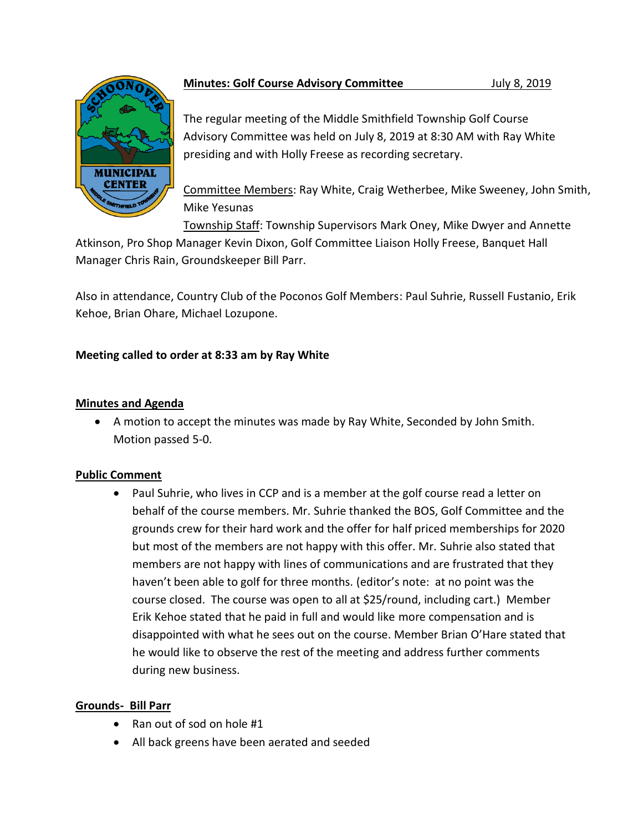

# **Minutes: Golf Course Advisory Committee** *July 8, 2019*

The regular meeting of the Middle Smithfield Township Golf Course Advisory Committee was held on July 8, 2019 at 8:30 AM with Ray White presiding and with Holly Freese as recording secretary.

Committee Members: Ray White, Craig Wetherbee, Mike Sweeney, John Smith, Mike Yesunas

Township Staff: Township Supervisors Mark Oney, Mike Dwyer and Annette

Atkinson, Pro Shop Manager Kevin Dixon, Golf Committee Liaison Holly Freese, Banquet Hall Manager Chris Rain, Groundskeeper Bill Parr.

Also in attendance, Country Club of the Poconos Golf Members: Paul Suhrie, Russell Fustanio, Erik Kehoe, Brian Ohare, Michael Lozupone.

# **Meeting called to order at 8:33 am by Ray White**

# **Minutes and Agenda**

• A motion to accept the minutes was made by Ray White, Seconded by John Smith. Motion passed 5-0.

## **Public Comment**

• Paul Suhrie, who lives in CCP and is a member at the golf course read a letter on behalf of the course members. Mr. Suhrie thanked the BOS, Golf Committee and the grounds crew for their hard work and the offer for half priced memberships for 2020 but most of the members are not happy with this offer. Mr. Suhrie also stated that members are not happy with lines of communications and are frustrated that they haven't been able to golf for three months. (editor's note: at no point was the course closed. The course was open to all at \$25/round, including cart.) Member Erik Kehoe stated that he paid in full and would like more compensation and is disappointed with what he sees out on the course. Member Brian O'Hare stated that he would like to observe the rest of the meeting and address further comments during new business.

# **Grounds- Bill Parr**

- Ran out of sod on hole #1
- All back greens have been aerated and seeded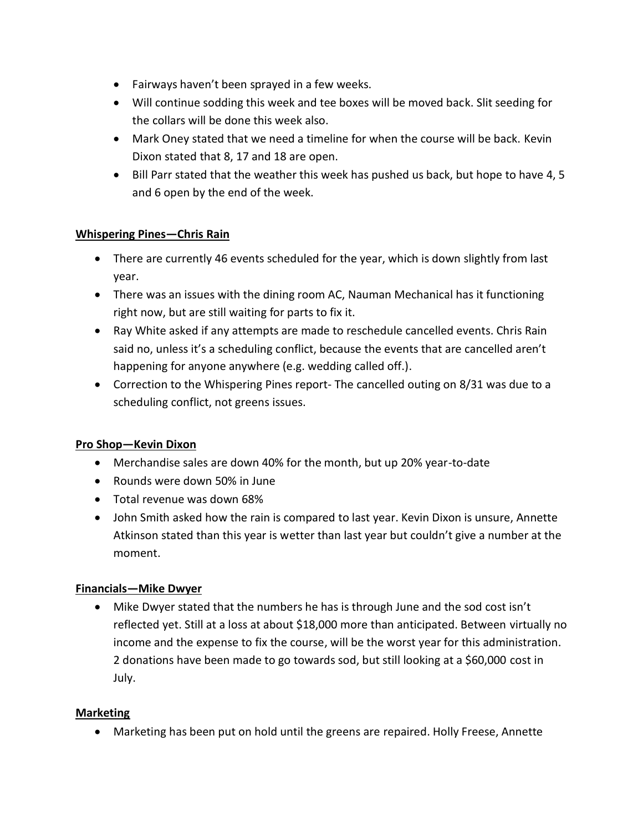- Fairways haven't been sprayed in a few weeks.
- Will continue sodding this week and tee boxes will be moved back. Slit seeding for the collars will be done this week also.
- Mark Oney stated that we need a timeline for when the course will be back. Kevin Dixon stated that 8, 17 and 18 are open.
- Bill Parr stated that the weather this week has pushed us back, but hope to have 4, 5 and 6 open by the end of the week.

## **Whispering Pines—Chris Rain**

- There are currently 46 events scheduled for the year, which is down slightly from last year.
- There was an issues with the dining room AC, Nauman Mechanical has it functioning right now, but are still waiting for parts to fix it.
- Ray White asked if any attempts are made to reschedule cancelled events. Chris Rain said no, unless it's a scheduling conflict, because the events that are cancelled aren't happening for anyone anywhere (e.g. wedding called off.).
- Correction to the Whispering Pines report- The cancelled outing on 8/31 was due to a scheduling conflict, not greens issues.

# **Pro Shop—Kevin Dixon**

- Merchandise sales are down 40% for the month, but up 20% year-to-date
- Rounds were down 50% in June
- Total revenue was down 68%
- John Smith asked how the rain is compared to last year. Kevin Dixon is unsure, Annette Atkinson stated than this year is wetter than last year but couldn't give a number at the moment.

## **Financials—Mike Dwyer**

• Mike Dwyer stated that the numbers he has is through June and the sod cost isn't reflected yet. Still at a loss at about \$18,000 more than anticipated. Between virtually no income and the expense to fix the course, will be the worst year for this administration. 2 donations have been made to go towards sod, but still looking at a \$60,000 cost in July.

## **Marketing**

• Marketing has been put on hold until the greens are repaired. Holly Freese, Annette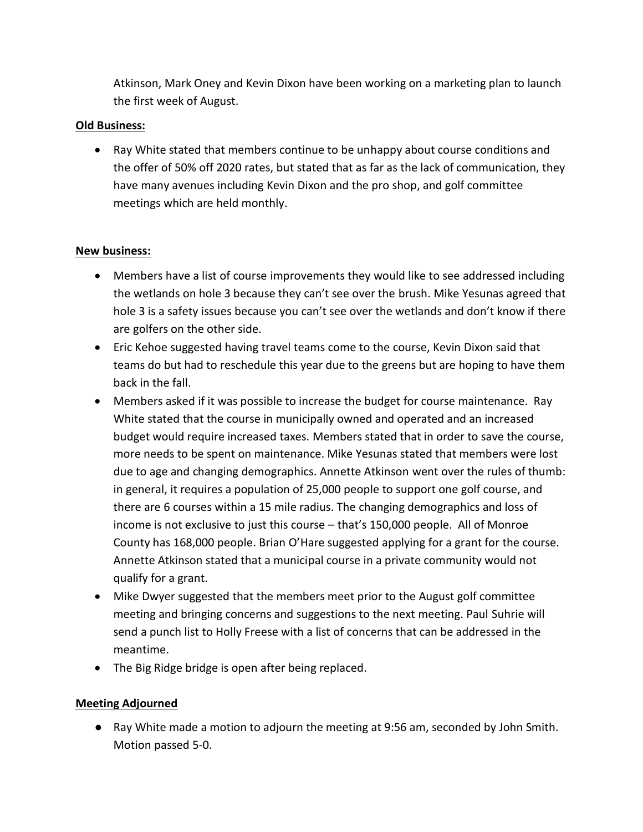Atkinson, Mark Oney and Kevin Dixon have been working on a marketing plan to launch the first week of August.

#### **Old Business:**

• Ray White stated that members continue to be unhappy about course conditions and the offer of 50% off 2020 rates, but stated that as far as the lack of communication, they have many avenues including Kevin Dixon and the pro shop, and golf committee meetings which are held monthly.

#### **New business:**

- Members have a list of course improvements they would like to see addressed including the wetlands on hole 3 because they can't see over the brush. Mike Yesunas agreed that hole 3 is a safety issues because you can't see over the wetlands and don't know if there are golfers on the other side.
- Eric Kehoe suggested having travel teams come to the course, Kevin Dixon said that teams do but had to reschedule this year due to the greens but are hoping to have them back in the fall.
- Members asked if it was possible to increase the budget for course maintenance. Ray White stated that the course in municipally owned and operated and an increased budget would require increased taxes. Members stated that in order to save the course, more needs to be spent on maintenance. Mike Yesunas stated that members were lost due to age and changing demographics. Annette Atkinson went over the rules of thumb: in general, it requires a population of 25,000 people to support one golf course, and there are 6 courses within a 15 mile radius. The changing demographics and loss of income is not exclusive to just this course – that's 150,000 people. All of Monroe County has 168,000 people. Brian O'Hare suggested applying for a grant for the course. Annette Atkinson stated that a municipal course in a private community would not qualify for a grant.
- Mike Dwyer suggested that the members meet prior to the August golf committee meeting and bringing concerns and suggestions to the next meeting. Paul Suhrie will send a punch list to Holly Freese with a list of concerns that can be addressed in the meantime.
- The Big Ridge bridge is open after being replaced.

## **Meeting Adjourned**

● Ray White made a motion to adjourn the meeting at 9:56 am, seconded by John Smith. Motion passed 5-0.